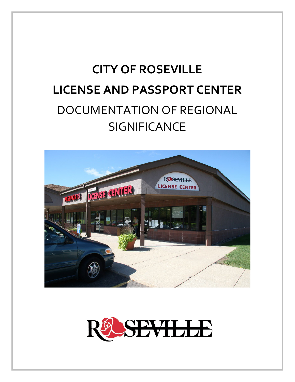# **CITY OF ROSEVILLE LICENSE AND PASSPORT CENTER** DOCUMENTATION OF REGIONAL **SIGNIFICANCE**



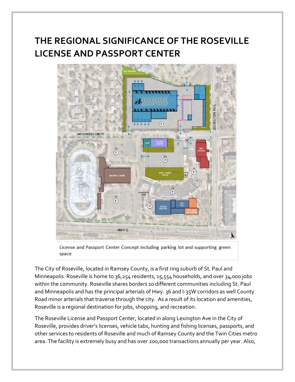## **THE REGIONAL SIGNIFICANCE OF THE ROSEVILLE LICENSE AND PASSPORT CENTER**



License and Passport Center Concept including parking lot and supporting green space

The City of Roseville, located in Ramsey County, is a first ring suburb of St. Paul and Minneapolis. Roseville is home to 36,254 residents, 15,554 households, and over 34,000 jobs within the community. Roseville shares borders 10 different communities including St. Paul and Minneapolis and has the principal arterials of Hwy. 36 and I-35W corridors as well County Road minor arterials that traverse through the city. As a result of its location and amenities, Roseville is a regional destination for jobs, shopping, and recreation.

The Roseville License and Passport Center, located in along Lexington Ave in the City of Roseville, provides driver's licenses, vehicle tabs, hunting and fishing licenses, passports, and other services to residents of Roseville and much of Ramsey County and the Twin Cities metro area. The facility is extremely busy and has over 200,000 transactions annually per year. Also,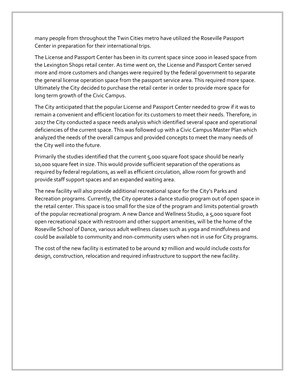many people from throughout the Twin Cities metro have utilized the Roseville Passport Center in preparation for their international trips.

The License and Passport Center has been in its current space since 2000 in leased space from the Lexington Shops retail center. As time went on, the License and Passport Center served more and more customers and changes were required by the federal government to separate the general license operation space from the passport service area. This required more space. Ultimately the City decided to purchase the retail center in order to provide more space for long term growth of the Civic Campus.

The City anticipated that the popular License and Passport Center needed to grow if it was to remain a convenient and efficient location for its customers to meet their needs. Therefore, in 2017 the City conducted a space needs analysis which identified several space and operational deficiencies of the current space. This was followed up with a Civic Campus Master Plan which analyzed the needs of the overall campus and provided concepts to meet the many needs of the City well into the future.

Primarily the studies identified that the current 5,000 square foot space should be nearly 10,000 square feet in size. This would provide sufficient separation of the operations as required by federal regulations, as well as efficient circulation, allow room for growth and provide staff support spaces and an expanded waiting area.

The new facility will also provide additional recreational space for the City's Parks and Recreation programs. Currently, the City operates a dance studio program out of open space in the retail center. This space is too small for the size of the program and limits potential growth of the popular recreational program. A new Dance and Wellness Studio, a 5,000 square foot open recreational space with restroom and other support amenities, will be the home of the Roseville School of Dance, various adult wellness classes such as yoga and mindfulness and could be available to community and non-community users when not in use for City programs.

The cost of the new facility is estimated to be around \$7 million and would include costs for design, construction, relocation and required infrastructure to support the new facility.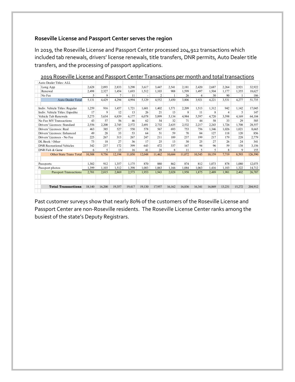#### **Roseville License and Passport Center serves the region**

In 2019, the Roseville License and Passport Center processed 204,912 transactions which included tab renewals, drivers' license renewals, title transfers, DNR permits, Auto Dealer title transfers, and the processing of passport applications.

|                                  | Auto Dealer Titles: ALL        |        |        |        |        |                |                |        |        |                |        |                |        |         |
|----------------------------------|--------------------------------|--------|--------|--------|--------|----------------|----------------|--------|--------|----------------|--------|----------------|--------|---------|
|                                  | Long App                       | 2.628  | 2.093  | 2.833  | 3,290  | 3.617          | 3,447          | 2.541  | 2.181  | 2.420          | 2.687  | 2,264          | 2,921  | 32,922  |
|                                  | Renewal                        | 2,498  | 2,327  | 1.454  | 1.693  | 1.512          | 1.103          | 908    | 1.599  | 1.497          | 1.504  | 1.177          | 1.355  | 18,627  |
|                                  | No Fee                         | 5      | 9      | 7      | 11     | $\overline{a}$ | $\overline{c}$ |        | 26     | $\overline{4}$ | 30     | 90             |        | 186     |
|                                  | Auto Dealer Total              | 5.131  | 4,429  | 4.294  | 4.994  | 5.129          | 4.552          | 3.450  | 3.806  | 3.921          | 4.221  | 3.531          | 4,277  | 51,735  |
|                                  |                                |        |        |        |        |                |                |        |        |                |        |                |        |         |
| Indiv. Vehicle Titles: Regular   |                                | 1,259  | 916    | 1.457  | 1,721  | 1.601          | 1,402          | 1.571  | 2,209  | 1.513          | 1.312  | 942            | 1.142  | 17,045  |
| Indiv. Vehicle Titles: Expedite  |                                | 17     | 9      | 12     | 13     | 26             | 21             | 13     | 8      | 11             | 8      | $\overline{4}$ | 5      | 147     |
|                                  | Vehicle Tab Renewals           | 5,275  | 5.634  | 6.839  | 6.177  | 6.078          | 5.899          | 5.134  | 4.984  | 5,597          | 4.720  | 3.598          | 4,169  | 64,104  |
|                                  | No Fee MV Transactions         | 43     | 57     | 56     | 46     | 62             | 54             | 32     | 71     | 44             | 58     | 33             | 29     | 585     |
|                                  | Drivers' Licenses: Standard    | 2,556  | 2.200  | 2.745  | 2.572  | 2.691          | 2.732          | 2.635  | 2,532  | 2.217          | 2.243  | 1.726          | 1.708  | 28,557  |
|                                  | Drivers' Licenses: Real        | 463    | 385    | 527    | 550    | 578            | 567            | 693    | 753    | 756            | 1.346  | 1.026          | 1.021  | 8,665   |
|                                  | Drivers' Licenses: Enhanced    | 49     | 28     | 33     | 53     | 64             | 51             | 59     | 70     | 84             | 127    | 118            | 120    | 856     |
| Drivers' Licenses - No Fee       |                                | 225    | 267    | 313    | 267    | 247            | 211            | 189    | 237    | 199            | 217    | 179            | 228    | 2,779   |
| DL Book / Other                  |                                | 73     | 18     | 27     | 36     | 17             | 25             | 13     | 30     | 25             | 27     | 26             | 24     | 341     |
| <b>DNR</b> Recreational Vehicles |                                | 342    | 237    | 172    | 399    | 643            | 472            | 337    | 167    | 94             | 96     | 59             | 138    | 3,156   |
| DNR Fish & Game                  |                                | 6      | 5      | 13     | 16     | 41             | 28             | 8      | 11     | 5              | 5      | 8              | 9      | 155     |
|                                  | <b>Other State Trans Total</b> | 10,308 | 9,756  | 12,194 | 11,850 | 12,048         | 11,462         | 10,684 | 11,072 | 10,545         | 10,159 | 7,719          | 8,593  | 126,390 |
|                                  |                                |        |        |        |        |                |                |        |        |                |        |                |        |         |
| Passports                        |                                | 1.302  | 912    | 1.357  | 1.175  | 870            | 880            | 862    | 874    | 812            | 1.073  | 878            | 1.080  | 12,075  |
| Passport photos                  |                                | 1,399  | 1,103  | 1,512  | 1.398  | 1.083          | 1.063          | 1,166  | 1,084  | 1,063          | 1,416  | 1.103          | 1,322  | 14,712  |
|                                  | <b>Passport Transactions</b>   | 2,701  | 2,015  | 2.869  | 2,573  | 1,953          | 1,943          | 2,028  | 1,958  | 1,875          | 2,489  | 1.981          | 2,402  | 26,787  |
|                                  |                                |        |        |        |        |                |                |        |        |                |        |                |        |         |
|                                  |                                |        |        |        |        |                |                |        |        |                |        |                |        |         |
|                                  | <b>Total Transactions</b>      | 18,140 | 16.200 | 19,357 | 19,417 | 19.130         | 17.957         | 16.162 | 16,836 | 16.341         | 16,869 | 13.231         | 15,272 | 204.912 |
|                                  |                                |        |        |        |        |                |                |        |        |                |        |                |        |         |

2019 Roseville License and Passport Center Transactions per month and total transactions

Past customer surveys show that nearly 80% of the customers of the Roseville License and Passport Center are non-Roseville residents. The Roseville License Center ranks among the busiest of the state's Deputy Registrars.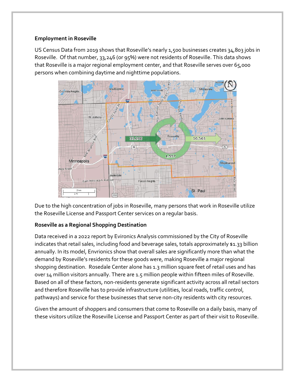#### **Employment in Roseville**

US Census Data from 2019 shows that Roseville's nearly 1,500 businesses creates 34,803 jobs in Roseville. Of that number, 33,246 (or 95%) were not residents of Roseville. This data shows that Roseville is a major regional employment center, and that Roseville serves over 65,000 persons when combining daytime and nighttime populations.



Due to the high concentration of jobs in Roseville, many persons that work in Roseville utilize the Roseville License and Passport Center services on a regular basis.

### **Roseville as a Regional Shopping Destination**

Data received in a 2022 report by Evironics Analysis commissioned by the City of Roseville indicates that retail sales, including food and beverage sales, totals approximately \$1.33 billion annually. In its model, Envrionics show that overall sales are significantly more than what the demand by Roseville's residents for these goods were, making Roseville a major regional shopping destination. Rosedale Center alone has 1.3 million square feet of retail uses and has over 14 million visitors annually. There are 1.5 million people within fifteen miles of Roseville. Based on all of these factors, non-residents generate significant activity across all retail sectors and therefore Roseville has to provide infrastructure (utilities, local roads, traffic control, pathways) and service for these businesses that serve non-city residents with city resources.

Given the amount of shoppers and consumers that come to Roseville on a daily basis, many of these visitors utilize the Roseville License and Passport Center as part of their visit to Roseville.